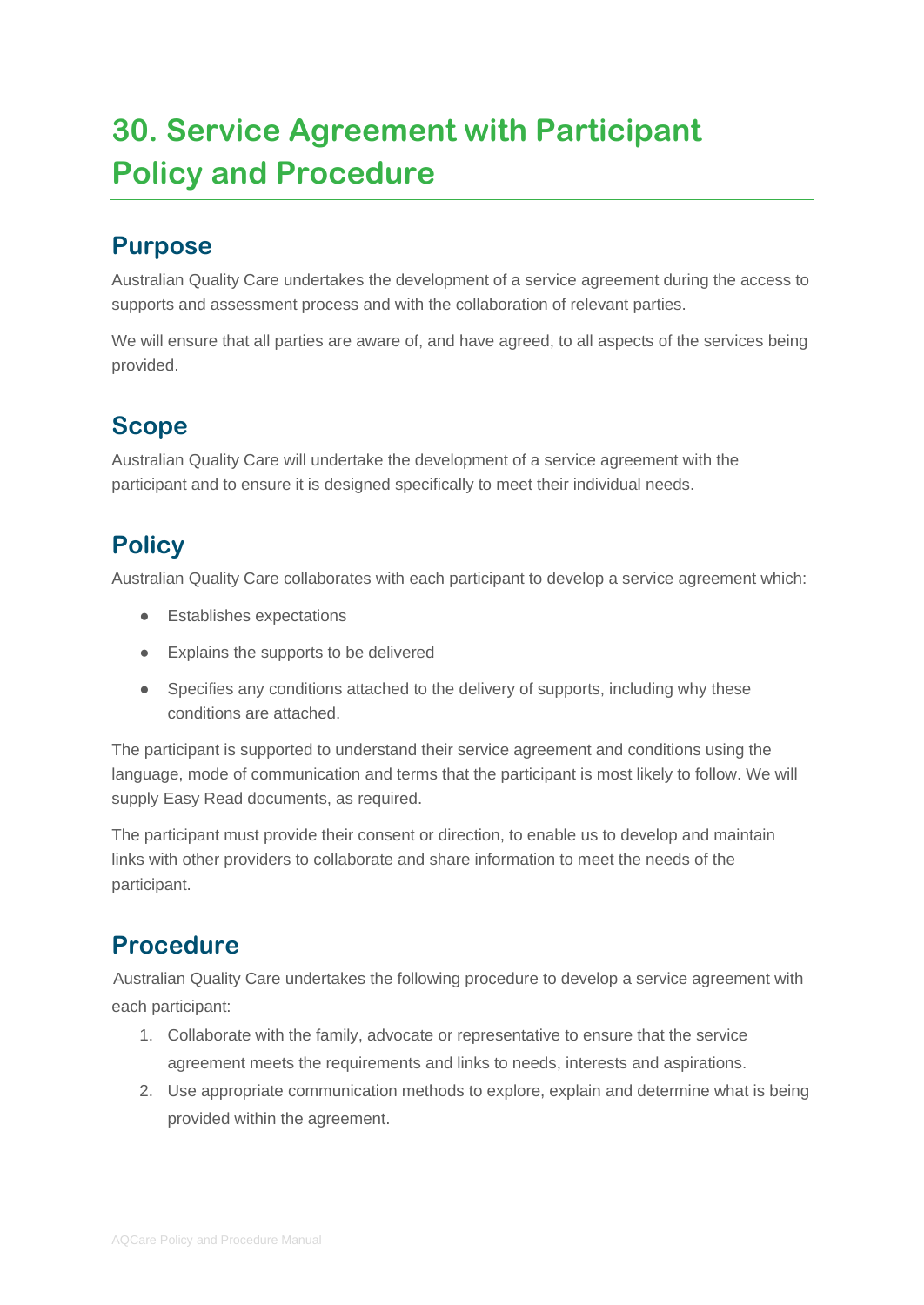# **30. Service Agreement with Participant Policy and Procedure**

#### **Purpose**

Australian Quality Care undertakes the development of a service agreement during the access to supports and assessment process and with the collaboration of relevant parties.

We will ensure that all parties are aware of, and have agreed, to all aspects of the services being provided.

## **Scope**

Australian Quality Care will undertake the development of a service agreement with the participant and to ensure it is designed specifically to meet their individual needs.

## **Policy**

Australian Quality Care collaborates with each participant to develop a service agreement which:

- Establishes expectations
- Explains the supports to be delivered
- Specifies any conditions attached to the delivery of supports, including why these conditions are attached.

The participant is supported to understand their service agreement and conditions using the language, mode of communication and terms that the participant is most likely to follow. We will supply Easy Read documents, as required.

The participant must provide their consent or direction, to enable us to develop and maintain links with other providers to collaborate and share information to meet the needs of the participant.

## **Procedure**

Australian Quality Care undertakes the following procedure to develop a service agreement with each participant:

- 1. Collaborate with the family, advocate or representative to ensure that the service agreement meets the requirements and links to needs, interests and aspirations.
- 2. Use appropriate communication methods to explore, explain and determine what is being provided within the agreement.